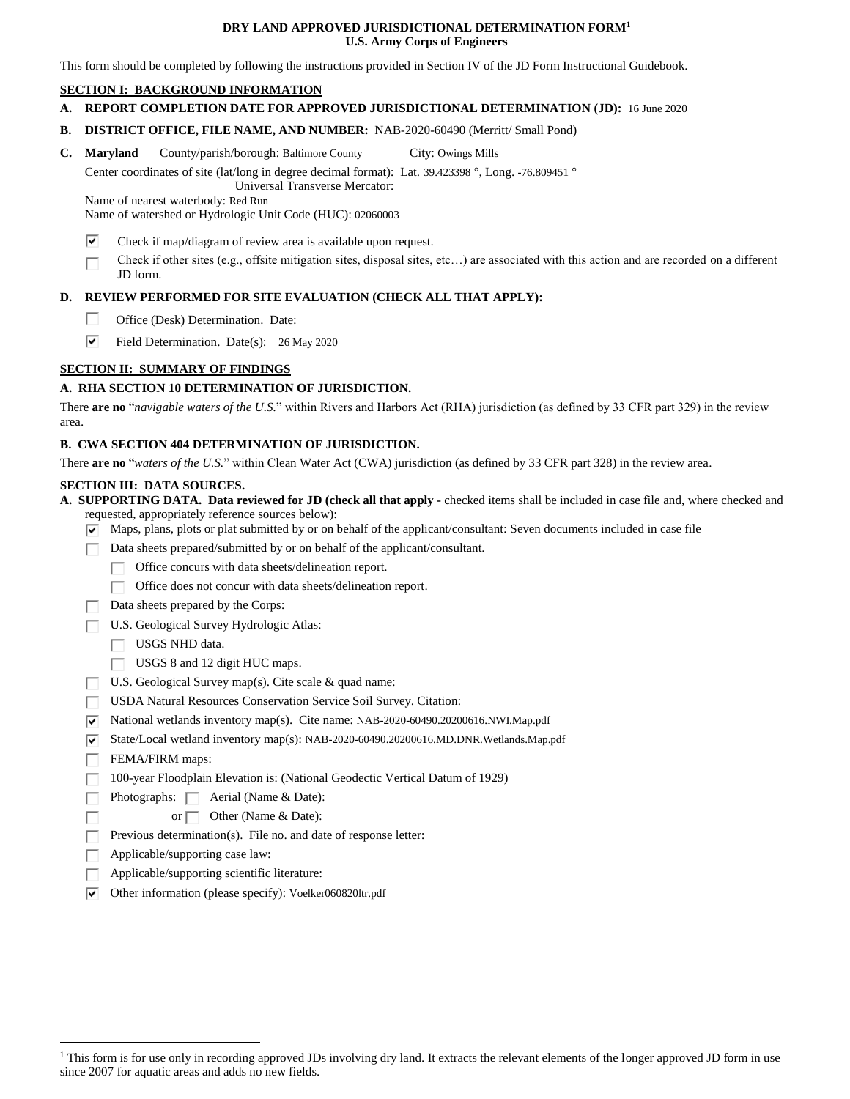### **DRY LAND APPROVED JURISDICTIONAL DETERMINATION FORM<sup>1</sup> U.S. Army Corps of Engineers**

This form should be completed by following the instructions provided in Section IV of the JD Form Instructional Guidebook.

## **SECTION I: BACKGROUND INFORMATION**

**A. REPORT COMPLETION DATE FOR APPROVED JURISDICTIONAL DETERMINATION (JD):** 16 June 2020

**B. DISTRICT OFFICE, FILE NAME, AND NUMBER:** NAB-2020-60490 (Merritt/ Small Pond)

**C.** Maryland County/parish/borough: Baltimore County City: Owings Mills

Center coordinates of site (lat/long in degree decimal format): Lat. 39.423398 °, Long. -76.809451 ° Universal Transverse Mercator:

Name of nearest waterbody: Red Run

Name of watershed or Hydrologic Unit Code (HUC): 02060003

- ⊽ Check if map/diagram of review area is available upon request.
- Check if other sites (e.g., offsite mitigation sites, disposal sites, etc…) are associated with this action and are recorded on a different П JD form.

## **D. REVIEW PERFORMED FOR SITE EVALUATION (CHECK ALL THAT APPLY):**

- П. Office (Desk) Determination. Date:
- ⊽ Field Determination. Date(s): 26 May 2020

# **SECTION II: SUMMARY OF FINDINGS**

## **A. RHA SECTION 10 DETERMINATION OF JURISDICTION.**

There **are no** "*navigable waters of the U.S.*" within Rivers and Harbors Act (RHA) jurisdiction (as defined by 33 CFR part 329) in the review area.

## **B. CWA SECTION 404 DETERMINATION OF JURISDICTION.**

There **are no** "*waters of the U.S.*" within Clean Water Act (CWA) jurisdiction (as defined by 33 CFR part 328) in the review area.

#### **SECTION III: DATA SOURCES.**

**A. SUPPORTING DATA. Data reviewed for JD (check all that apply -** checked items shall be included in case file and, where checked and requested, appropriately reference sources below):

- $\overline{\triangledown}$  Maps, plans, plots or plat submitted by or on behalf of the applicant/consultant: Seven documents included in case file
- Data sheets prepared/submitted by or on behalf of the applicant/consultant.
	- П. Office concurs with data sheets/delineation report.
	- Office does not concur with data sheets/delineation report.
- $\Box$  Data sheets prepared by the Corps:
- U.S. Geological Survey Hydrologic Atlas:
	- USGS NHD data.
	- $\Box$  USGS 8 and 12 digit HUC maps.
- $\Box$  U.S. Geological Survey map(s). Cite scale & quad name:
- USDA Natural Resources Conservation Service Soil Survey. Citation:
- $\triangledown$  National wetlands inventory map(s). Cite name: NAB-2020-60490.20200616.NWI.Map.pdf
- $\overline{\mathbf{v}}$ State/Local wetland inventory map(s): NAB-2020-60490.20200616.MD.DNR.Wetlands.Map.pdf
- П. FEMA/FIRM maps:

П Г

 $\overline{a}$ 

- 100-year Floodplain Elevation is: (National Geodectic Vertical Datum of 1929) П
	- Photographs:  $\Box$  Aerial (Name & Date):
		- or  $\Box$  Other (Name & Date):
- Previous determination(s). File no. and date of response letter: п
- Applicable/supporting case law: п
- Applicable/supporting scientific literature: Г
- $\triangledown$  Other information (please specify): Voelker060820ltr.pdf

<sup>&</sup>lt;sup>1</sup> This form is for use only in recording approved JDs involving dry land. It extracts the relevant elements of the longer approved JD form in use since 2007 for aquatic areas and adds no new fields.